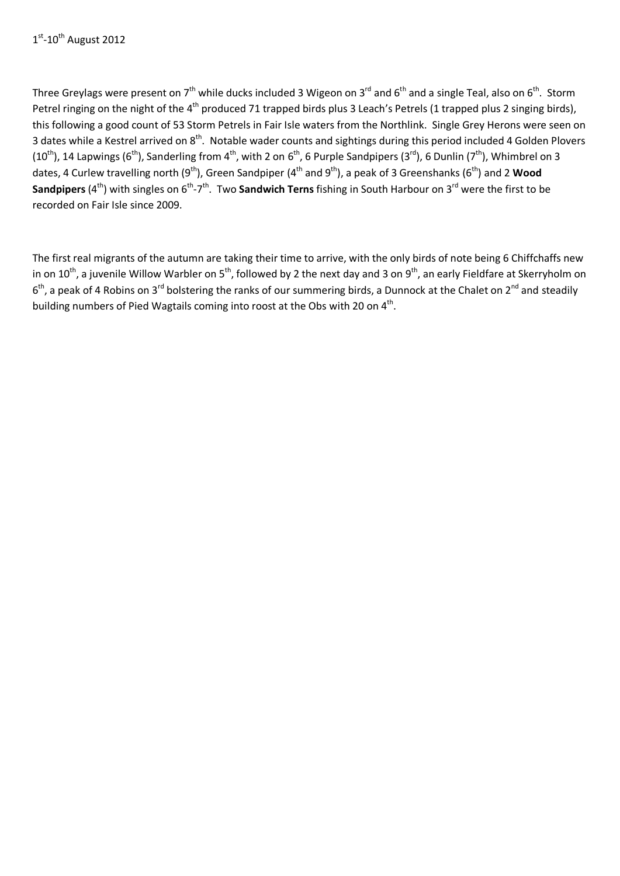Three Greylags were present on  $7<sup>th</sup>$  while ducks included 3 Wigeon on 3<sup>rd</sup> and 6<sup>th</sup> and a single Teal, also on 6<sup>th</sup>. Storm Petrel ringing on the night of the 4<sup>th</sup> produced 71 trapped birds plus 3 Leach's Petrels (1 trapped plus 2 singing birds), this following a good count of 53 Storm Petrels in Fair Isle waters from the Northlink. Single Grey Herons were seen on 3 dates while a Kestrel arrived on 8<sup>th</sup>. Notable wader counts and sightings during this period included 4 Golden Plovers (10<sup>th</sup>), 14 Lapwings (6<sup>th</sup>), Sanderling from 4<sup>th</sup>, with 2 on 6<sup>th</sup>, 6 Purple Sandpipers (3<sup>rd</sup>), 6 Dunlin (7<sup>th</sup>), Whimbrel on 3 dates, 4 Curlew travelling north (9<sup>th</sup>), Green Sandpiper (4<sup>th</sup> and 9<sup>th</sup>), a peak of 3 Greenshanks (6<sup>th</sup>) and 2 Wood **Sandpipers** (4<sup>th</sup>) with singles on 6<sup>th</sup>-7<sup>th</sup>. Two **Sandwich Terns** fishing in South Harbour on 3<sup>rd</sup> were the first to be recorded on Fair Isle since 2009.

The first real migrants of the autumn are taking their time to arrive, with the only birds of note being 6 Chiffchaffs new in on  $10^{th}$ , a juvenile Willow Warbler on 5<sup>th</sup>, followed by 2 the next day and 3 on 9<sup>th</sup>, an early Fieldfare at Skerryholm on  $6<sup>th</sup>$ , a peak of 4 Robins on 3<sup>rd</sup> bolstering the ranks of our summering birds, a Dunnock at the Chalet on 2<sup>nd</sup> and steadily building numbers of Pied Wagtails coming into roost at the Obs with 20 on 4<sup>th</sup>.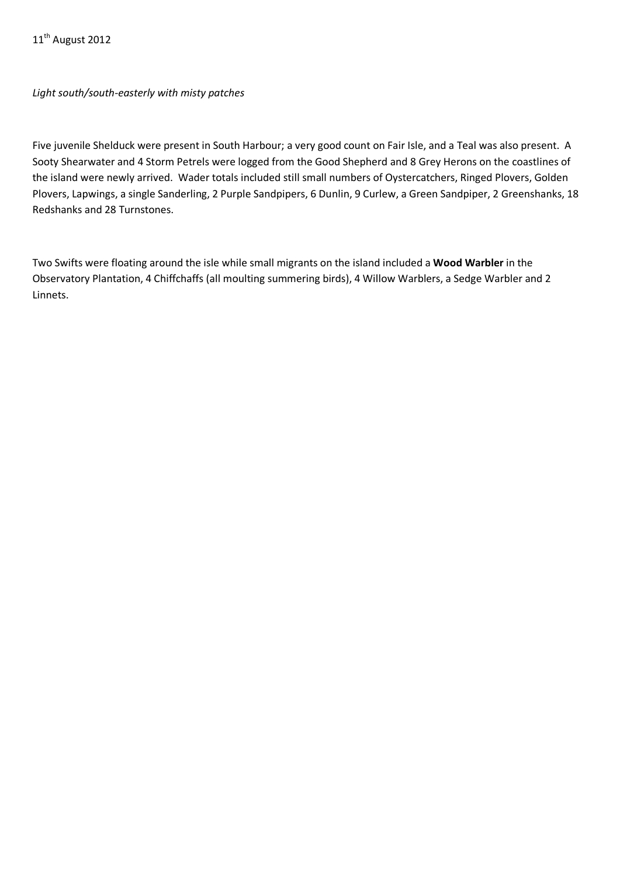*Light south/south-easterly with misty patches*

Five juvenile Shelduck were present in South Harbour; a very good count on Fair Isle, and a Teal was also present. A Sooty Shearwater and 4 Storm Petrels were logged from the Good Shepherd and 8 Grey Herons on the coastlines of the island were newly arrived. Wader totals included still small numbers of Oystercatchers, Ringed Plovers, Golden Plovers, Lapwings, a single Sanderling, 2 Purple Sandpipers, 6 Dunlin, 9 Curlew, a Green Sandpiper, 2 Greenshanks, 18 Redshanks and 28 Turnstones.

Two Swifts were floating around the isle while small migrants on the island included a **Wood Warbler** in the Observatory Plantation, 4 Chiffchaffs (all moulting summering birds), 4 Willow Warblers, a Sedge Warbler and 2 Linnets.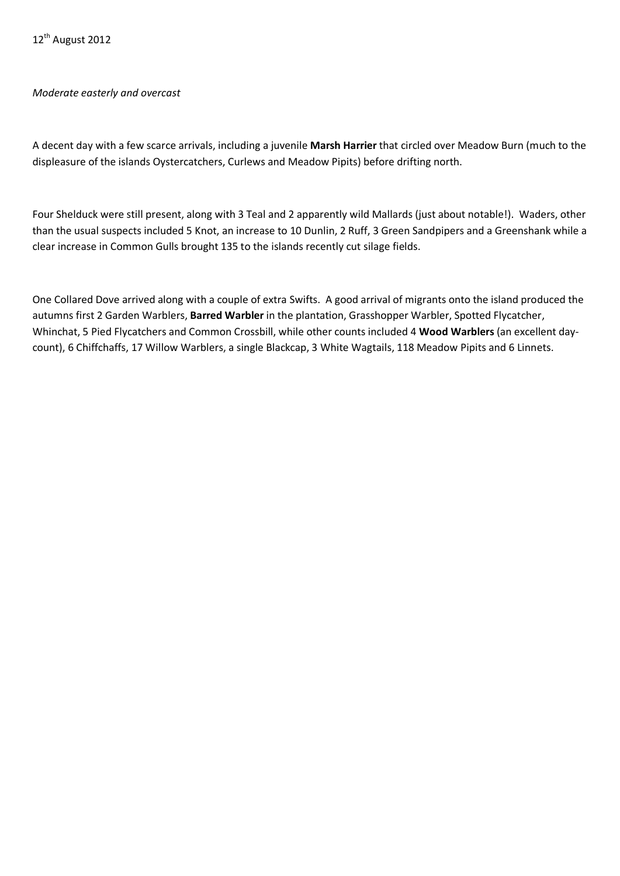# *Moderate easterly and overcast*

A decent day with a few scarce arrivals, including a juvenile **Marsh Harrier** that circled over Meadow Burn (much to the displeasure of the islands Oystercatchers, Curlews and Meadow Pipits) before drifting north.

Four Shelduck were still present, along with 3 Teal and 2 apparently wild Mallards (just about notable!). Waders, other than the usual suspects included 5 Knot, an increase to 10 Dunlin, 2 Ruff, 3 Green Sandpipers and a Greenshank while a clear increase in Common Gulls brought 135 to the islands recently cut silage fields.

One Collared Dove arrived along with a couple of extra Swifts. A good arrival of migrants onto the island produced the autumns first 2 Garden Warblers, **Barred Warbler** in the plantation, Grasshopper Warbler, Spotted Flycatcher, Whinchat, 5 Pied Flycatchers and Common Crossbill, while other counts included 4 **Wood Warblers** (an excellent daycount), 6 Chiffchaffs, 17 Willow Warblers, a single Blackcap, 3 White Wagtails, 118 Meadow Pipits and 6 Linnets.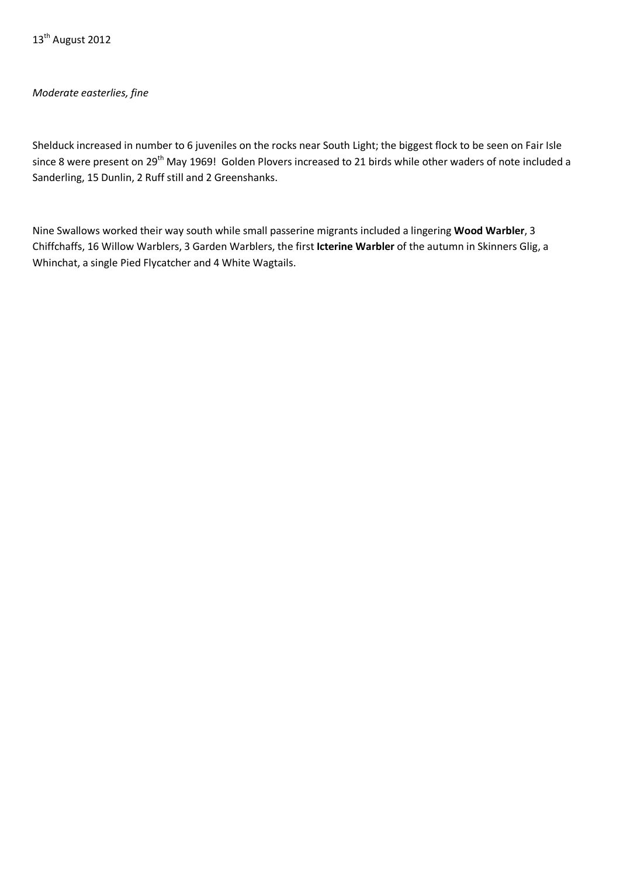# *Moderate easterlies, fine*

Shelduck increased in number to 6 juveniles on the rocks near South Light; the biggest flock to be seen on Fair Isle since 8 were present on 29<sup>th</sup> May 1969! Golden Plovers increased to 21 birds while other waders of note included a Sanderling, 15 Dunlin, 2 Ruff still and 2 Greenshanks.

Nine Swallows worked their way south while small passerine migrants included a lingering **Wood Warbler**, 3 Chiffchaffs, 16 Willow Warblers, 3 Garden Warblers, the first **Icterine Warbler** of the autumn in Skinners Glig, a Whinchat, a single Pied Flycatcher and 4 White Wagtails.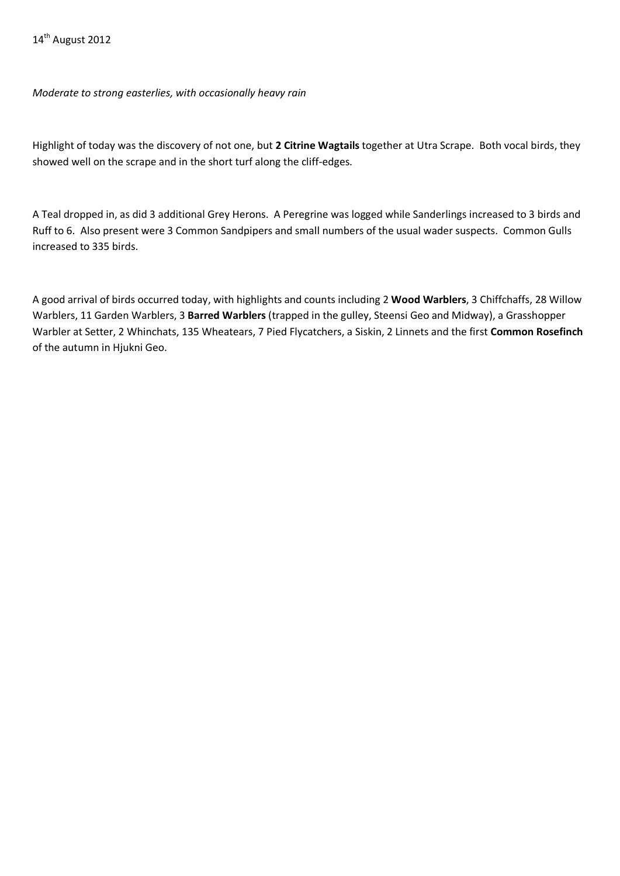*Moderate to strong easterlies, with occasionally heavy rain*

Highlight of today was the discovery of not one, but **2 Citrine Wagtails** together at Utra Scrape. Both vocal birds, they showed well on the scrape and in the short turf along the cliff-edges.

A Teal dropped in, as did 3 additional Grey Herons. A Peregrine was logged while Sanderlings increased to 3 birds and Ruff to 6. Also present were 3 Common Sandpipers and small numbers of the usual wader suspects. Common Gulls increased to 335 birds.

A good arrival of birds occurred today, with highlights and counts including 2 **Wood Warblers**, 3 Chiffchaffs, 28 Willow Warblers, 11 Garden Warblers, 3 **Barred Warblers** (trapped in the gulley, Steensi Geo and Midway), a Grasshopper Warbler at Setter, 2 Whinchats, 135 Wheatears, 7 Pied Flycatchers, a Siskin, 2 Linnets and the first **Common Rosefinch**  of the autumn in Hjukni Geo.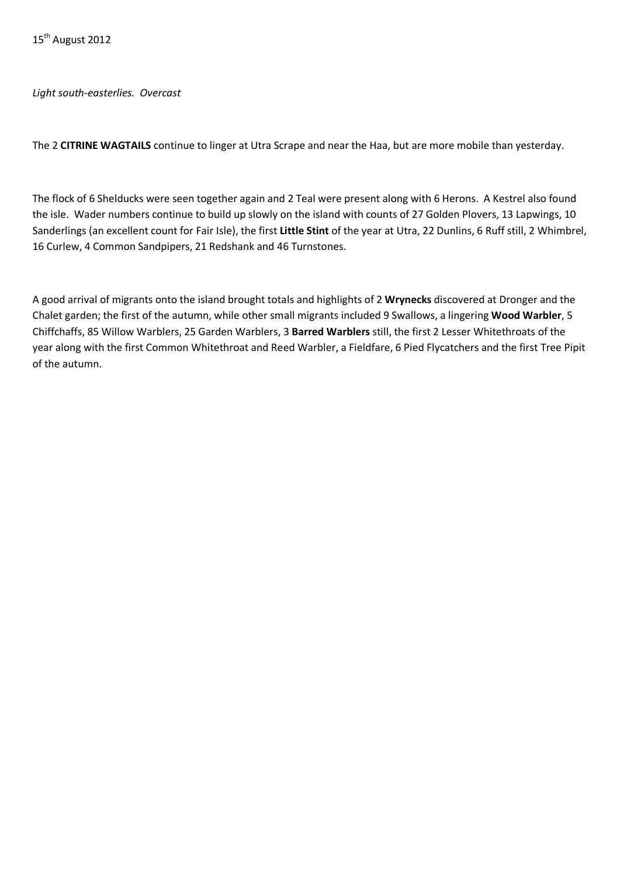*Light south-easterlies. Overcast*

The 2 **CITRINE WAGTAILS** continue to linger at Utra Scrape and near the Haa, but are more mobile than yesterday.

The flock of 6 Shelducks were seen together again and 2 Teal were present along with 6 Herons. A Kestrel also found the isle. Wader numbers continue to build up slowly on the island with counts of 27 Golden Plovers, 13 Lapwings, 10 Sanderlings (an excellent count for Fair Isle), the first **Little Stint** of the year at Utra, 22 Dunlins, 6 Ruff still, 2 Whimbrel, 16 Curlew, 4 Common Sandpipers, 21 Redshank and 46 Turnstones.

A good arrival of migrants onto the island brought totals and highlights of 2 **Wrynecks** discovered at Dronger and the Chalet garden; the first of the autumn, while other small migrants included 9 Swallows, a lingering **Wood Warbler**, 5 Chiffchaffs, 85 Willow Warblers, 25 Garden Warblers, 3 **Barred Warblers** still, the first 2 Lesser Whitethroats of the year along with the first Common Whitethroat and Reed Warbler, a Fieldfare, 6 Pied Flycatchers and the first Tree Pipit of the autumn.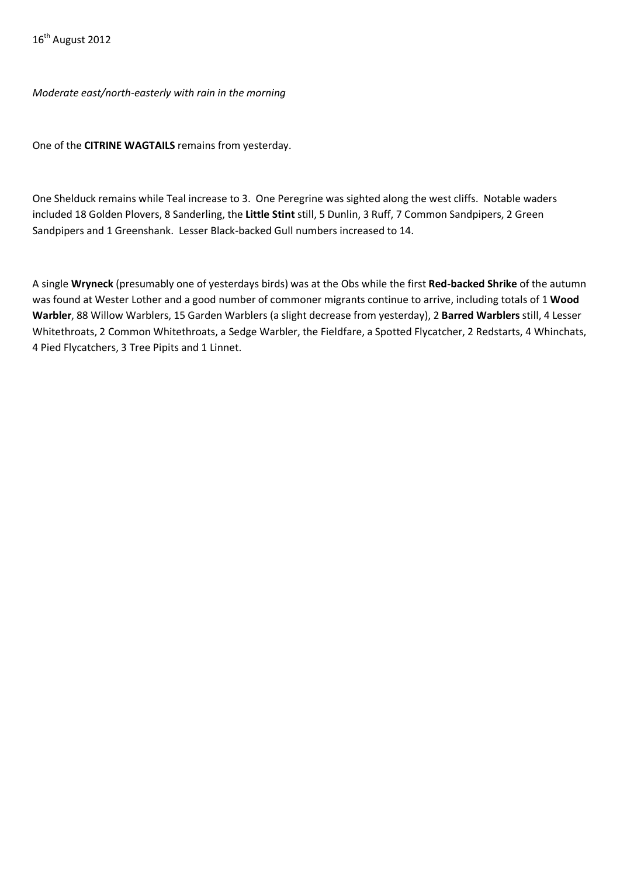*Moderate east/north-easterly with rain in the morning*

One of the **CITRINE WAGTAILS** remains from yesterday.

One Shelduck remains while Teal increase to 3. One Peregrine was sighted along the west cliffs. Notable waders included 18 Golden Plovers, 8 Sanderling, the **Little Stint** still, 5 Dunlin, 3 Ruff, 7 Common Sandpipers, 2 Green Sandpipers and 1 Greenshank. Lesser Black-backed Gull numbers increased to 14.

A single **Wryneck** (presumably one of yesterdays birds) was at the Obs while the first **Red-backed Shrike** of the autumn was found at Wester Lother and a good number of commoner migrants continue to arrive, including totals of 1 **Wood Warbler**, 88 Willow Warblers, 15 Garden Warblers (a slight decrease from yesterday), 2 **Barred Warblers** still, 4 Lesser Whitethroats, 2 Common Whitethroats, a Sedge Warbler, the Fieldfare, a Spotted Flycatcher, 2 Redstarts, 4 Whinchats, 4 Pied Flycatchers, 3 Tree Pipits and 1 Linnet.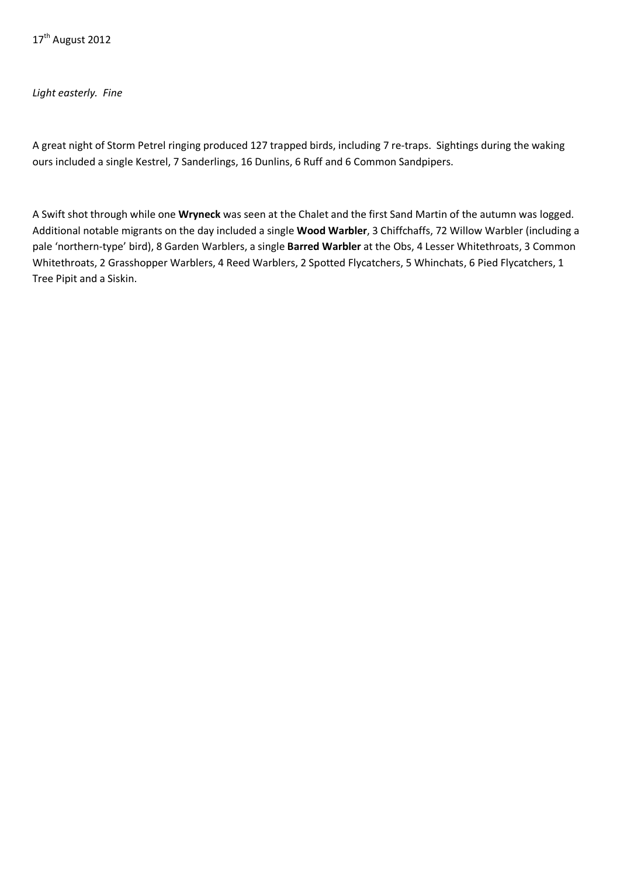### *Light easterly. Fine*

A great night of Storm Petrel ringing produced 127 trapped birds, including 7 re-traps. Sightings during the waking ours included a single Kestrel, 7 Sanderlings, 16 Dunlins, 6 Ruff and 6 Common Sandpipers.

A Swift shot through while one **Wryneck** was seen at the Chalet and the first Sand Martin of the autumn was logged. Additional notable migrants on the day included a single **Wood Warbler**, 3 Chiffchaffs, 72 Willow Warbler (including a pale 'northern-type' bird), 8 Garden Warblers, a single **Barred Warbler** at the Obs, 4 Lesser Whitethroats, 3 Common Whitethroats, 2 Grasshopper Warblers, 4 Reed Warblers, 2 Spotted Flycatchers, 5 Whinchats, 6 Pied Flycatchers, 1 Tree Pipit and a Siskin.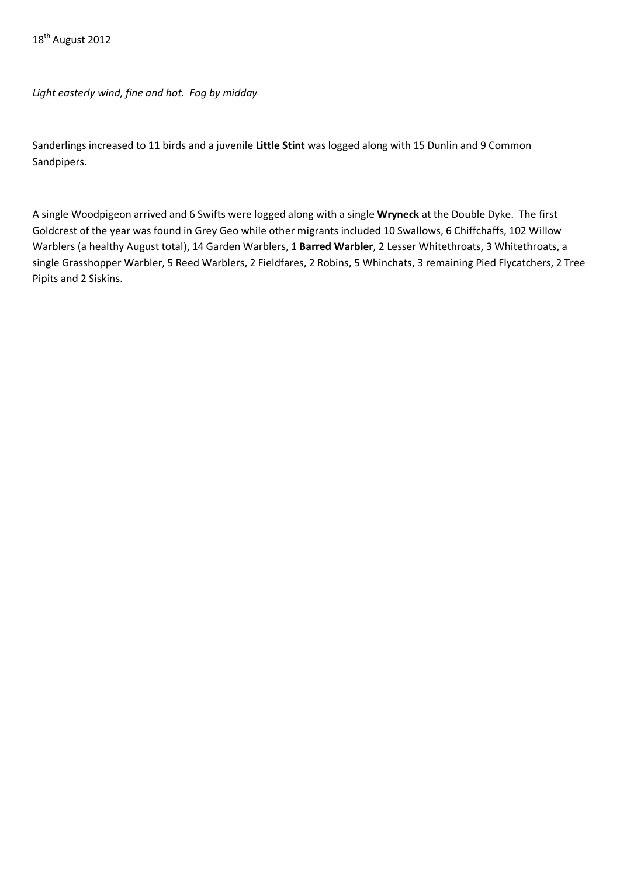*Light easterly wind, fine and hot. Fog by midday*

Sanderlings increased to 11 birds and a juvenile **Little Stint** was logged along with 15 Dunlin and 9 Common Sandpipers.

A single Woodpigeon arrived and 6 Swifts were logged along with a single **Wryneck** at the Double Dyke. The first Goldcrest of the year was found in Grey Geo while other migrants included 10 Swallows, 6 Chiffchaffs, 102 Willow Warblers (a healthy August total), 14 Garden Warblers, 1 **Barred Warbler**, 2 Lesser Whitethroats, 3 Whitethroats, a single Grasshopper Warbler, 5 Reed Warblers, 2 Fieldfares, 2 Robins, 5 Whinchats, 3 remaining Pied Flycatchers, 2 Tree Pipits and 2 Siskins.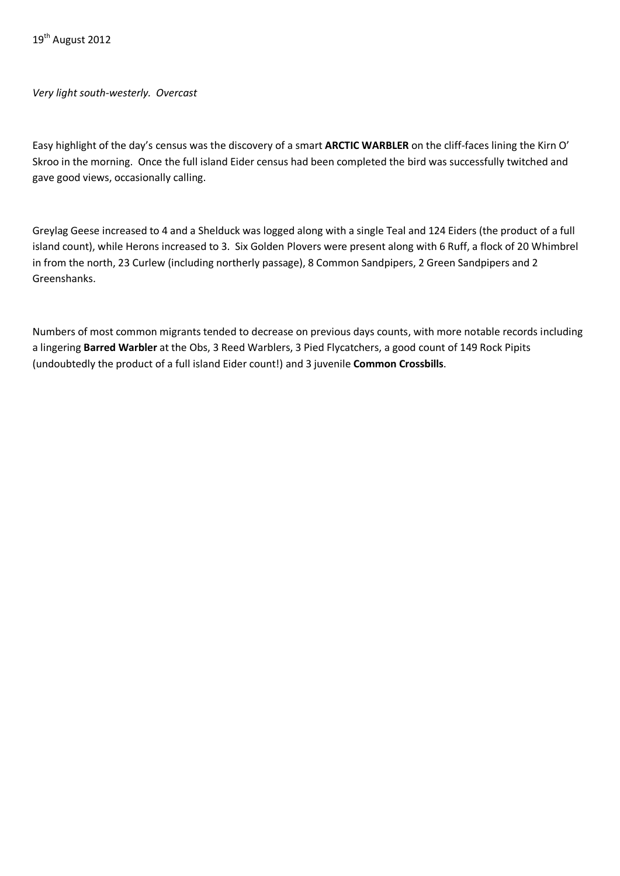*Very light south-westerly. Overcast*

Easy highlight of the day's census was the discovery of a smart **ARCTIC WARBLER** on the cliff-faces lining the Kirn O' Skroo in the morning. Once the full island Eider census had been completed the bird was successfully twitched and gave good views, occasionally calling.

Greylag Geese increased to 4 and a Shelduck was logged along with a single Teal and 124 Eiders (the product of a full island count), while Herons increased to 3. Six Golden Plovers were present along with 6 Ruff, a flock of 20 Whimbrel in from the north, 23 Curlew (including northerly passage), 8 Common Sandpipers, 2 Green Sandpipers and 2 Greenshanks.

Numbers of most common migrants tended to decrease on previous days counts, with more notable records including a lingering **Barred Warbler** at the Obs, 3 Reed Warblers, 3 Pied Flycatchers, a good count of 149 Rock Pipits (undoubtedly the product of a full island Eider count!) and 3 juvenile **Common Crossbills**.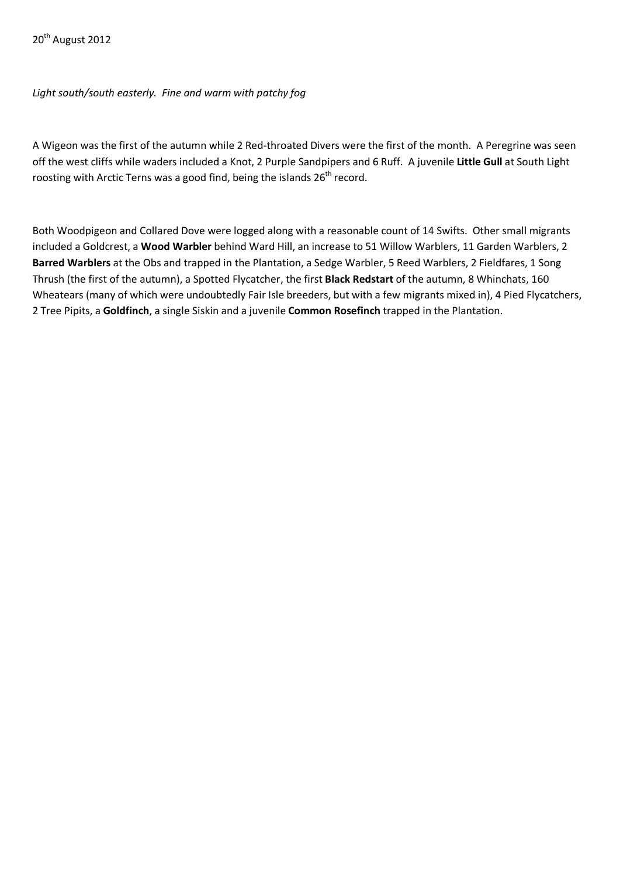*Light south/south easterly. Fine and warm with patchy fog*

A Wigeon was the first of the autumn while 2 Red-throated Divers were the first of the month. A Peregrine was seen off the west cliffs while waders included a Knot, 2 Purple Sandpipers and 6 Ruff. A juvenile **Little Gull** at South Light roosting with Arctic Terns was a good find, being the islands  $26<sup>th</sup>$  record.

Both Woodpigeon and Collared Dove were logged along with a reasonable count of 14 Swifts. Other small migrants included a Goldcrest, a **Wood Warbler** behind Ward Hill, an increase to 51 Willow Warblers, 11 Garden Warblers, 2 **Barred Warblers** at the Obs and trapped in the Plantation, a Sedge Warbler, 5 Reed Warblers, 2 Fieldfares, 1 Song Thrush (the first of the autumn), a Spotted Flycatcher, the first **Black Redstart** of the autumn, 8 Whinchats, 160 Wheatears (many of which were undoubtedly Fair Isle breeders, but with a few migrants mixed in), 4 Pied Flycatchers, 2 Tree Pipits, a **Goldfinch**, a single Siskin and a juvenile **Common Rosefinch** trapped in the Plantation.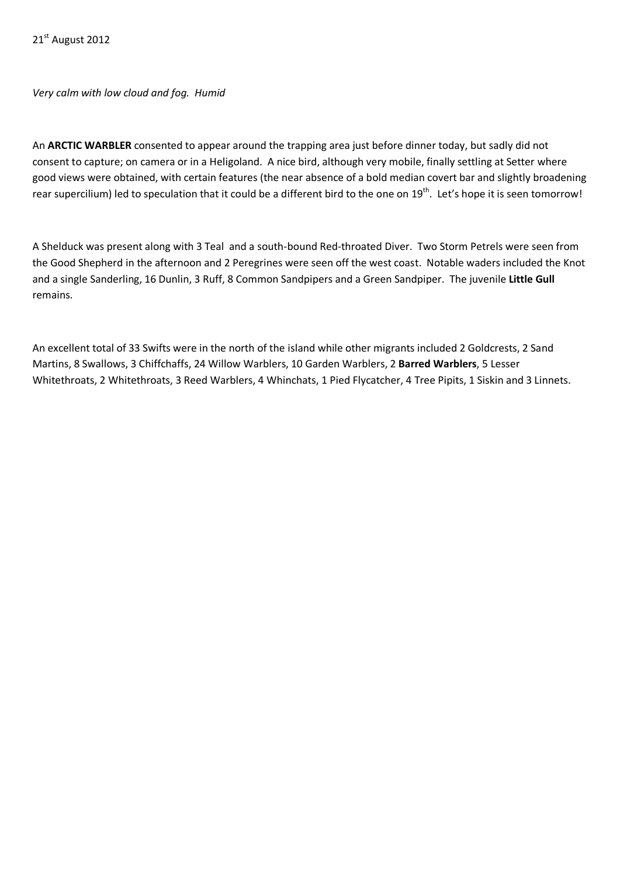*Very calm with low cloud and fog. Humid*

An **ARCTIC WARBLER** consented to appear around the trapping area just before dinner today, but sadly did not consent to capture; on camera or in a Heligoland. A nice bird, although very mobile, finally settling at Setter where good views were obtained, with certain features (the near absence of a bold median covert bar and slightly broadening rear supercilium) led to speculation that it could be a different bird to the one on 19<sup>th</sup>. Let's hope it is seen tomorrow!

A Shelduck was present along with 3 Teal and a south-bound Red-throated Diver. Two Storm Petrels were seen from the Good Shepherd in the afternoon and 2 Peregrines were seen off the west coast. Notable waders included the Knot and a single Sanderling, 16 Dunlin, 3 Ruff, 8 Common Sandpipers and a Green Sandpiper. The juvenile **Little Gull**  remains.

An excellent total of 33 Swifts were in the north of the island while other migrants included 2 Goldcrests, 2 Sand Martins, 8 Swallows, 3 Chiffchaffs, 24 Willow Warblers, 10 Garden Warblers, 2 **Barred Warblers**, 5 Lesser Whitethroats, 2 Whitethroats, 3 Reed Warblers, 4 Whinchats, 1 Pied Flycatcher, 4 Tree Pipits, 1 Siskin and 3 Linnets.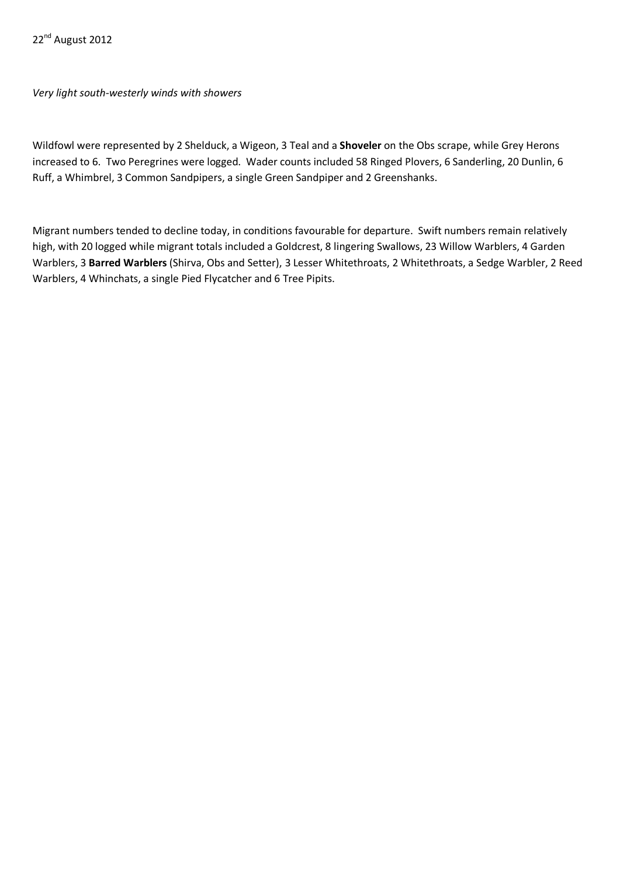*Very light south-westerly winds with showers*

Wildfowl were represented by 2 Shelduck, a Wigeon, 3 Teal and a **Shoveler** on the Obs scrape, while Grey Herons increased to 6. Two Peregrines were logged. Wader counts included 58 Ringed Plovers, 6 Sanderling, 20 Dunlin, 6 Ruff, a Whimbrel, 3 Common Sandpipers, a single Green Sandpiper and 2 Greenshanks.

Migrant numbers tended to decline today, in conditions favourable for departure. Swift numbers remain relatively high, with 20 logged while migrant totals included a Goldcrest, 8 lingering Swallows, 23 Willow Warblers, 4 Garden Warblers, 3 **Barred Warblers** (Shirva, Obs and Setter), 3 Lesser Whitethroats, 2 Whitethroats, a Sedge Warbler, 2 Reed Warblers, 4 Whinchats, a single Pied Flycatcher and 6 Tree Pipits.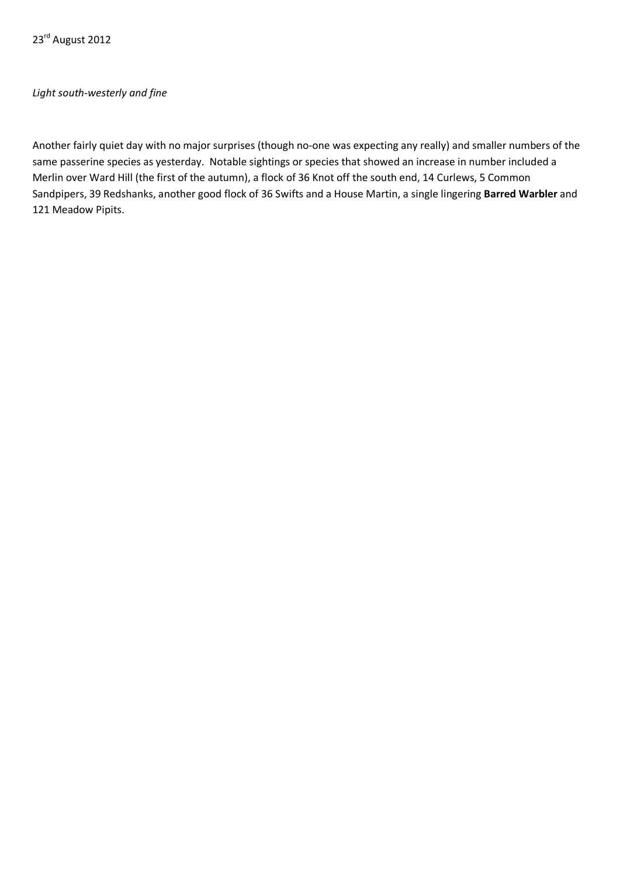# *Light south-westerly and fine*

Another fairly quiet day with no major surprises (though no-one was expecting any really) and smaller numbers of the same passerine species as yesterday. Notable sightings or species that showed an increase in number included a Merlin over Ward Hill (the first of the autumn), a flock of 36 Knot off the south end, 14 Curlews, 5 Common Sandpipers, 39 Redshanks, another good flock of 36 Swifts and a House Martin, a single lingering **Barred Warbler** and 121 Meadow Pipits.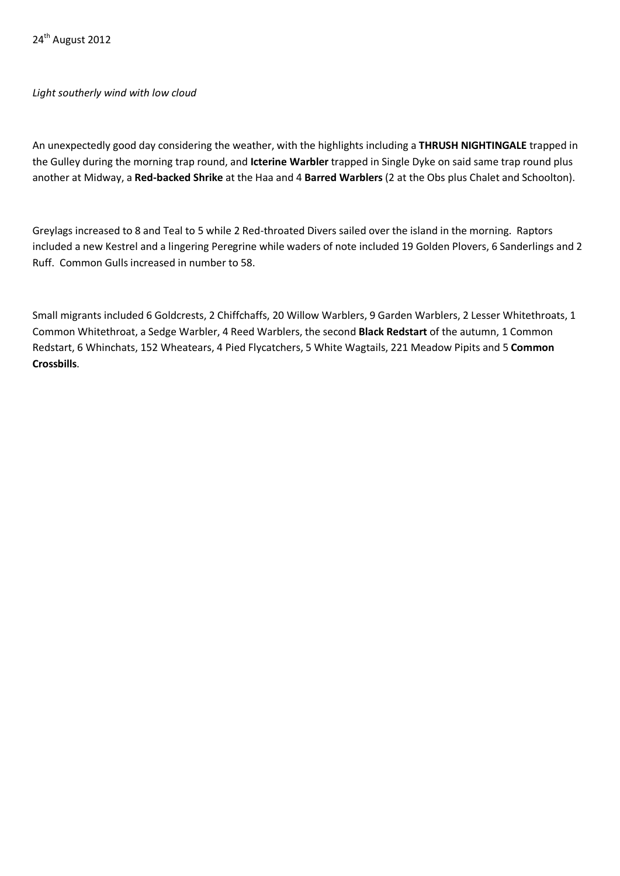# *Light southerly wind with low cloud*

An unexpectedly good day considering the weather, with the highlights including a **THRUSH NIGHTINGALE** trapped in the Gulley during the morning trap round, and **Icterine Warbler** trapped in Single Dyke on said same trap round plus another at Midway, a **Red-backed Shrike** at the Haa and 4 **Barred Warblers** (2 at the Obs plus Chalet and Schoolton).

Greylags increased to 8 and Teal to 5 while 2 Red-throated Divers sailed over the island in the morning. Raptors included a new Kestrel and a lingering Peregrine while waders of note included 19 Golden Plovers, 6 Sanderlings and 2 Ruff. Common Gulls increased in number to 58.

Small migrants included 6 Goldcrests, 2 Chiffchaffs, 20 Willow Warblers, 9 Garden Warblers, 2 Lesser Whitethroats, 1 Common Whitethroat, a Sedge Warbler, 4 Reed Warblers, the second **Black Redstart** of the autumn, 1 Common Redstart, 6 Whinchats, 152 Wheatears, 4 Pied Flycatchers, 5 White Wagtails, 221 Meadow Pipits and 5 **Common Crossbills**.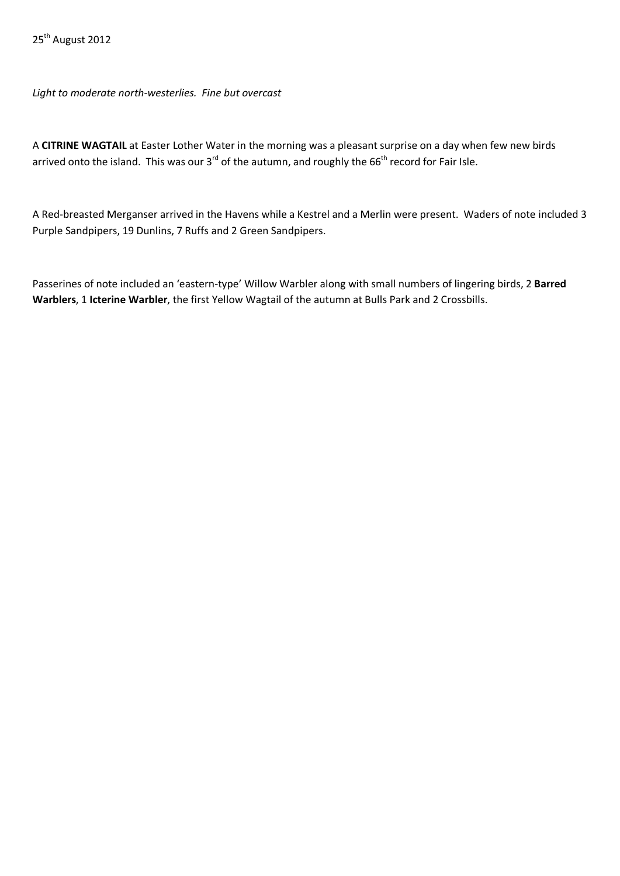*Light to moderate north-westerlies. Fine but overcast*

A **CITRINE WAGTAIL** at Easter Lother Water in the morning was a pleasant surprise on a day when few new birds arrived onto the island. This was our 3 $^{rd}$  of the autumn, and roughly the 66 $^{th}$  record for Fair Isle.

A Red-breasted Merganser arrived in the Havens while a Kestrel and a Merlin were present. Waders of note included 3 Purple Sandpipers, 19 Dunlins, 7 Ruffs and 2 Green Sandpipers.

Passerines of note included an 'eastern-type' Willow Warbler along with small numbers of lingering birds, 2 **Barred Warblers**, 1 **Icterine Warbler**, the first Yellow Wagtail of the autumn at Bulls Park and 2 Crossbills.